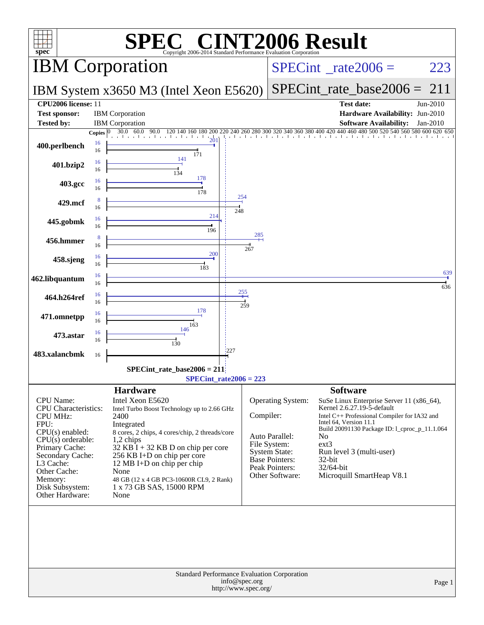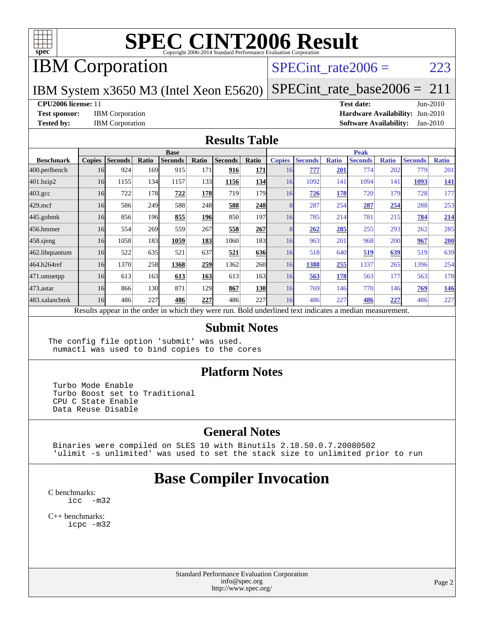

# IBM Corporation

### SPECint rate $2006 = 223$

### IBM System x3650 M3 (Intel Xeon E5620)

[SPECint\\_rate\\_base2006 =](http://www.spec.org/auto/cpu2006/Docs/result-fields.html#SPECintratebase2006) 211

#### **[CPU2006 license:](http://www.spec.org/auto/cpu2006/Docs/result-fields.html#CPU2006license)** 11 **[Test date:](http://www.spec.org/auto/cpu2006/Docs/result-fields.html#Testdate)** Jun-2010

**[Test sponsor:](http://www.spec.org/auto/cpu2006/Docs/result-fields.html#Testsponsor)** IBM Corporation **[Hardware Availability:](http://www.spec.org/auto/cpu2006/Docs/result-fields.html#HardwareAvailability)** Jun-2010 **[Tested by:](http://www.spec.org/auto/cpu2006/Docs/result-fields.html#Testedby)** IBM Corporation **[Software Availability:](http://www.spec.org/auto/cpu2006/Docs/result-fields.html#SoftwareAvailability)** Jan-2010

#### **[Results Table](http://www.spec.org/auto/cpu2006/Docs/result-fields.html#ResultsTable)**

|                    | <b>Base</b>   |                |       |                |            |                                                                                                          |            | <b>Peak</b>   |                |              |                |              |                |              |
|--------------------|---------------|----------------|-------|----------------|------------|----------------------------------------------------------------------------------------------------------|------------|---------------|----------------|--------------|----------------|--------------|----------------|--------------|
| <b>Benchmark</b>   | <b>Copies</b> | <b>Seconds</b> | Ratio | <b>Seconds</b> | Ratio      | <b>Seconds</b>                                                                                           | Ratio      | <b>Copies</b> | <b>Seconds</b> | <b>Ratio</b> | <b>Seconds</b> | <b>Ratio</b> | <b>Seconds</b> | <b>Ratio</b> |
| 400.perlbench      | 16            | 924            | 169   | 915            | 171        | 916                                                                                                      | 171        | 16            | 777            | 201          | 774            | 202          | 779            | 201          |
| 401.bzip2          | 16            | 1155           | 134   | 1157           | 133I       | 1156                                                                                                     | 134        | 16            | 1092           | 141          | 1094           | 141          | 1093           | <u>141</u>   |
| $403.\mathrm{gcc}$ | 16            | 722            | 178   | 722            | <b>178</b> | 719                                                                                                      | 179        | 16            | 726            | 178          | 720            | 179          | 728            | 177          |
| $429$ mcf          | 16            | 586            | 249   | 588            | 248        | 588                                                                                                      | 248        |               | 287            | 254          | 287            | 254          | 288            | 253          |
| $445$ .gobmk       | 16            | 856            | 196   | 855            | <b>196</b> | 850                                                                                                      | 197        | 16            | 785            | 214          | 781            | 215          | 784            | 214          |
| 456.hmmer          | 16            | 554            | 269   | 559            | 267        | 558                                                                                                      | 267        |               | 262            | 285          | 255            | 293          | 262            | 285          |
| $458$ .sjeng       | 16            | 1058           | 183   | 1059           | 183        | 1060                                                                                                     | 183        | 16            | 963            | 201          | 968            | 200          | 967            | 200          |
| 462.libquantum     | 16            | 522            | 635   | 521            | 637        | 521                                                                                                      | 636        | 16            | 518            | 640          | 519            | 639          | 519            | 639          |
| 464.h264ref        | 16            | 1370           | 258   | 1368           | 259        | 1362                                                                                                     | <b>260</b> | 16            | 1388           | 255          | 1337           | 265          | 1396           | 254          |
| 471.omnetpp        | 16            | 613            | 163   | 613            | <b>163</b> | 613                                                                                                      | 163        | 16            | 563            | 178          | 563            | 177          | 563            | 178          |
| $473$ . astar      | 16            | 866            | 130   | 871            | 129        | 867                                                                                                      | <b>130</b> | 16            | 769            | 146          | 770            | 146          | 769            | <u>146</u>   |
| 483.xalancbmk      | 16            | 486            | 227   | 486            | 227        | 486                                                                                                      | 227        | 16            | 486            | 227          | 486            | 227          | 486            | 227          |
|                    |               |                |       |                |            | Results appear in the order in which they were run. Bold underlined text indicates a median measurement. |            |               |                |              |                |              |                |              |

#### **[Submit Notes](http://www.spec.org/auto/cpu2006/Docs/result-fields.html#SubmitNotes)**

The config file option 'submit' was used. numactl was used to bind copies to the cores

#### **[Platform Notes](http://www.spec.org/auto/cpu2006/Docs/result-fields.html#PlatformNotes)**

 Turbo Mode Enable Turbo Boost set to Traditional CPU C State Enable Data Reuse Disable

### **[General Notes](http://www.spec.org/auto/cpu2006/Docs/result-fields.html#GeneralNotes)**

 Binaries were compiled on SLES 10 with Binutils 2.18.50.0.7.20080502 'ulimit -s unlimited' was used to set the stack size to unlimited prior to run

## **[Base Compiler Invocation](http://www.spec.org/auto/cpu2006/Docs/result-fields.html#BaseCompilerInvocation)**

[C benchmarks](http://www.spec.org/auto/cpu2006/Docs/result-fields.html#Cbenchmarks): [icc -m32](http://www.spec.org/cpu2006/results/res2010q3/cpu2006-20100621-11846.flags.html#user_CCbase_intel_icc_32bit_5ff4a39e364c98233615fdd38438c6f2)

[C++ benchmarks:](http://www.spec.org/auto/cpu2006/Docs/result-fields.html#CXXbenchmarks) [icpc -m32](http://www.spec.org/cpu2006/results/res2010q3/cpu2006-20100621-11846.flags.html#user_CXXbase_intel_icpc_32bit_4e5a5ef1a53fd332b3c49e69c3330699)

> Standard Performance Evaluation Corporation [info@spec.org](mailto:info@spec.org) <http://www.spec.org/>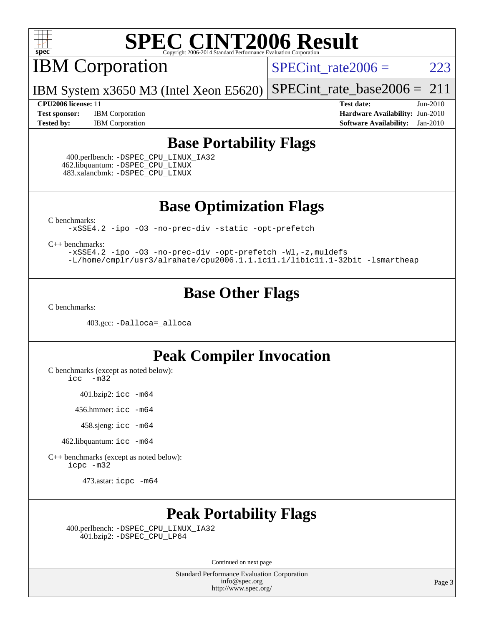

IBM Corporation

 $SPECTnt_rate2006 = 223$ 

IBM System x3650 M3 (Intel Xeon E5620) [SPECint\\_rate\\_base2006 =](http://www.spec.org/auto/cpu2006/Docs/result-fields.html#SPECintratebase2006)  $211$ 

**[Test sponsor:](http://www.spec.org/auto/cpu2006/Docs/result-fields.html#Testsponsor)** IBM Corporation **[Hardware Availability:](http://www.spec.org/auto/cpu2006/Docs/result-fields.html#HardwareAvailability)** Jun-2010 **[Tested by:](http://www.spec.org/auto/cpu2006/Docs/result-fields.html#Testedby)** IBM Corporation **[Software Availability:](http://www.spec.org/auto/cpu2006/Docs/result-fields.html#SoftwareAvailability)** Jan-2010

**[CPU2006 license:](http://www.spec.org/auto/cpu2006/Docs/result-fields.html#CPU2006license)** 11 **[Test date:](http://www.spec.org/auto/cpu2006/Docs/result-fields.html#Testdate)** Jun-2010

### **[Base Portability Flags](http://www.spec.org/auto/cpu2006/Docs/result-fields.html#BasePortabilityFlags)**

 400.perlbench: [-DSPEC\\_CPU\\_LINUX\\_IA32](http://www.spec.org/cpu2006/results/res2010q3/cpu2006-20100621-11846.flags.html#b400.perlbench_baseCPORTABILITY_DSPEC_CPU_LINUX_IA32) 462.libquantum: [-DSPEC\\_CPU\\_LINUX](http://www.spec.org/cpu2006/results/res2010q3/cpu2006-20100621-11846.flags.html#b462.libquantum_baseCPORTABILITY_DSPEC_CPU_LINUX) 483.xalancbmk: [-DSPEC\\_CPU\\_LINUX](http://www.spec.org/cpu2006/results/res2010q3/cpu2006-20100621-11846.flags.html#b483.xalancbmk_baseCXXPORTABILITY_DSPEC_CPU_LINUX)

**[Base Optimization Flags](http://www.spec.org/auto/cpu2006/Docs/result-fields.html#BaseOptimizationFlags)**

[C benchmarks](http://www.spec.org/auto/cpu2006/Docs/result-fields.html#Cbenchmarks):

[-xSSE4.2](http://www.spec.org/cpu2006/results/res2010q3/cpu2006-20100621-11846.flags.html#user_CCbase_f-xSSE42_f91528193cf0b216347adb8b939d4107) [-ipo](http://www.spec.org/cpu2006/results/res2010q3/cpu2006-20100621-11846.flags.html#user_CCbase_f-ipo) [-O3](http://www.spec.org/cpu2006/results/res2010q3/cpu2006-20100621-11846.flags.html#user_CCbase_f-O3) [-no-prec-div](http://www.spec.org/cpu2006/results/res2010q3/cpu2006-20100621-11846.flags.html#user_CCbase_f-no-prec-div) [-static](http://www.spec.org/cpu2006/results/res2010q3/cpu2006-20100621-11846.flags.html#user_CCbase_f-static) [-opt-prefetch](http://www.spec.org/cpu2006/results/res2010q3/cpu2006-20100621-11846.flags.html#user_CCbase_f-opt-prefetch)

[C++ benchmarks:](http://www.spec.org/auto/cpu2006/Docs/result-fields.html#CXXbenchmarks)

[-xSSE4.2](http://www.spec.org/cpu2006/results/res2010q3/cpu2006-20100621-11846.flags.html#user_CXXbase_f-xSSE42_f91528193cf0b216347adb8b939d4107) [-ipo](http://www.spec.org/cpu2006/results/res2010q3/cpu2006-20100621-11846.flags.html#user_CXXbase_f-ipo) [-O3](http://www.spec.org/cpu2006/results/res2010q3/cpu2006-20100621-11846.flags.html#user_CXXbase_f-O3) [-no-prec-div](http://www.spec.org/cpu2006/results/res2010q3/cpu2006-20100621-11846.flags.html#user_CXXbase_f-no-prec-div) [-opt-prefetch](http://www.spec.org/cpu2006/results/res2010q3/cpu2006-20100621-11846.flags.html#user_CXXbase_f-opt-prefetch) [-Wl,-z,muldefs](http://www.spec.org/cpu2006/results/res2010q3/cpu2006-20100621-11846.flags.html#user_CXXbase_link_force_multiple1_74079c344b956b9658436fd1b6dd3a8a) [-L/home/cmplr/usr3/alrahate/cpu2006.1.1.ic11.1/libic11.1-32bit -lsmartheap](http://www.spec.org/cpu2006/results/res2010q3/cpu2006-20100621-11846.flags.html#user_CXXbase_SmartHeap_d86dffe4a79b79ef8890d5cce17030c3)

## **[Base Other Flags](http://www.spec.org/auto/cpu2006/Docs/result-fields.html#BaseOtherFlags)**

[C benchmarks](http://www.spec.org/auto/cpu2006/Docs/result-fields.html#Cbenchmarks):

403.gcc: [-Dalloca=\\_alloca](http://www.spec.org/cpu2006/results/res2010q3/cpu2006-20100621-11846.flags.html#b403.gcc_baseEXTRA_CFLAGS_Dalloca_be3056838c12de2578596ca5467af7f3)

## **[Peak Compiler Invocation](http://www.spec.org/auto/cpu2006/Docs/result-fields.html#PeakCompilerInvocation)**

[C benchmarks \(except as noted below\)](http://www.spec.org/auto/cpu2006/Docs/result-fields.html#Cbenchmarksexceptasnotedbelow):

[icc -m32](http://www.spec.org/cpu2006/results/res2010q3/cpu2006-20100621-11846.flags.html#user_CCpeak_intel_icc_32bit_5ff4a39e364c98233615fdd38438c6f2)

401.bzip2: [icc -m64](http://www.spec.org/cpu2006/results/res2010q3/cpu2006-20100621-11846.flags.html#user_peakCCLD401_bzip2_intel_icc_64bit_bda6cc9af1fdbb0edc3795bac97ada53)

456.hmmer: [icc -m64](http://www.spec.org/cpu2006/results/res2010q3/cpu2006-20100621-11846.flags.html#user_peakCCLD456_hmmer_intel_icc_64bit_bda6cc9af1fdbb0edc3795bac97ada53)

458.sjeng: [icc -m64](http://www.spec.org/cpu2006/results/res2010q3/cpu2006-20100621-11846.flags.html#user_peakCCLD458_sjeng_intel_icc_64bit_bda6cc9af1fdbb0edc3795bac97ada53)

462.libquantum: [icc -m64](http://www.spec.org/cpu2006/results/res2010q3/cpu2006-20100621-11846.flags.html#user_peakCCLD462_libquantum_intel_icc_64bit_bda6cc9af1fdbb0edc3795bac97ada53)

[C++ benchmarks \(except as noted below\):](http://www.spec.org/auto/cpu2006/Docs/result-fields.html#CXXbenchmarksexceptasnotedbelow) [icpc -m32](http://www.spec.org/cpu2006/results/res2010q3/cpu2006-20100621-11846.flags.html#user_CXXpeak_intel_icpc_32bit_4e5a5ef1a53fd332b3c49e69c3330699)

473.astar: [icpc -m64](http://www.spec.org/cpu2006/results/res2010q3/cpu2006-20100621-11846.flags.html#user_peakCXXLD473_astar_intel_icpc_64bit_fc66a5337ce925472a5c54ad6a0de310)

## **[Peak Portability Flags](http://www.spec.org/auto/cpu2006/Docs/result-fields.html#PeakPortabilityFlags)**

 400.perlbench: [-DSPEC\\_CPU\\_LINUX\\_IA32](http://www.spec.org/cpu2006/results/res2010q3/cpu2006-20100621-11846.flags.html#b400.perlbench_peakCPORTABILITY_DSPEC_CPU_LINUX_IA32) 401.bzip2: [-DSPEC\\_CPU\\_LP64](http://www.spec.org/cpu2006/results/res2010q3/cpu2006-20100621-11846.flags.html#suite_peakCPORTABILITY401_bzip2_DSPEC_CPU_LP64)

Continued on next page

Standard Performance Evaluation Corporation [info@spec.org](mailto:info@spec.org) <http://www.spec.org/>

Page 3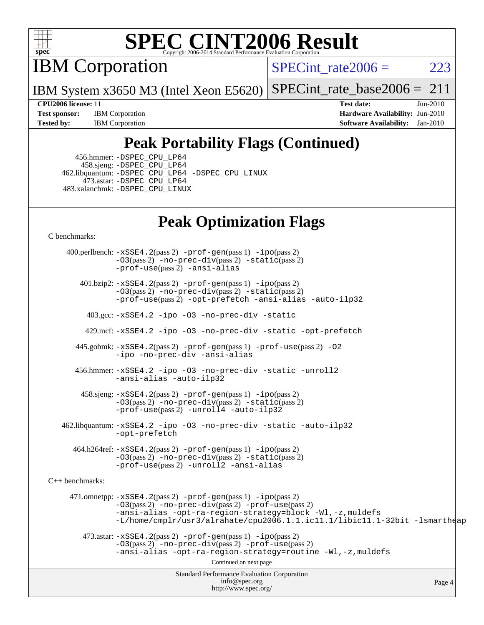

IBM Corporation

SPECint rate $2006 = 223$ 

IBM System x3650 M3 (Intel Xeon E5620) [SPECint\\_rate\\_base2006 =](http://www.spec.org/auto/cpu2006/Docs/result-fields.html#SPECintratebase2006)  $211$ 

**[Test sponsor:](http://www.spec.org/auto/cpu2006/Docs/result-fields.html#Testsponsor)** IBM Corporation **[Hardware Availability:](http://www.spec.org/auto/cpu2006/Docs/result-fields.html#HardwareAvailability)** Jun-2010 **[Tested by:](http://www.spec.org/auto/cpu2006/Docs/result-fields.html#Testedby)** IBM Corporation **[Software Availability:](http://www.spec.org/auto/cpu2006/Docs/result-fields.html#SoftwareAvailability)** Jan-2010

**[CPU2006 license:](http://www.spec.org/auto/cpu2006/Docs/result-fields.html#CPU2006license)** 11 **[Test date:](http://www.spec.org/auto/cpu2006/Docs/result-fields.html#Testdate)** Jun-2010

## **[Peak Portability Flags \(Continued\)](http://www.spec.org/auto/cpu2006/Docs/result-fields.html#PeakPortabilityFlags)**

 456.hmmer: [-DSPEC\\_CPU\\_LP64](http://www.spec.org/cpu2006/results/res2010q3/cpu2006-20100621-11846.flags.html#suite_peakCPORTABILITY456_hmmer_DSPEC_CPU_LP64) 458.sjeng: [-DSPEC\\_CPU\\_LP64](http://www.spec.org/cpu2006/results/res2010q3/cpu2006-20100621-11846.flags.html#suite_peakCPORTABILITY458_sjeng_DSPEC_CPU_LP64) 462.libquantum: [-DSPEC\\_CPU\\_LP64](http://www.spec.org/cpu2006/results/res2010q3/cpu2006-20100621-11846.flags.html#suite_peakCPORTABILITY462_libquantum_DSPEC_CPU_LP64) [-DSPEC\\_CPU\\_LINUX](http://www.spec.org/cpu2006/results/res2010q3/cpu2006-20100621-11846.flags.html#b462.libquantum_peakCPORTABILITY_DSPEC_CPU_LINUX) 473.astar: [-DSPEC\\_CPU\\_LP64](http://www.spec.org/cpu2006/results/res2010q3/cpu2006-20100621-11846.flags.html#suite_peakCXXPORTABILITY473_astar_DSPEC_CPU_LP64) 483.xalancbmk: [-DSPEC\\_CPU\\_LINUX](http://www.spec.org/cpu2006/results/res2010q3/cpu2006-20100621-11846.flags.html#b483.xalancbmk_peakCXXPORTABILITY_DSPEC_CPU_LINUX)

## **[Peak Optimization Flags](http://www.spec.org/auto/cpu2006/Docs/result-fields.html#PeakOptimizationFlags)**

[C benchmarks](http://www.spec.org/auto/cpu2006/Docs/result-fields.html#Cbenchmarks):

Standard Performance Evaluation Corporation [info@spec.org](mailto:info@spec.org) <http://www.spec.org/> Page 4 400.perlbench: [-xSSE4.2](http://www.spec.org/cpu2006/results/res2010q3/cpu2006-20100621-11846.flags.html#user_peakPASS2_CFLAGSPASS2_LDCFLAGS400_perlbench_f-xSSE42_f91528193cf0b216347adb8b939d4107)(pass 2) [-prof-gen](http://www.spec.org/cpu2006/results/res2010q3/cpu2006-20100621-11846.flags.html#user_peakPASS1_CFLAGSPASS1_LDCFLAGS400_perlbench_prof_gen_e43856698f6ca7b7e442dfd80e94a8fc)(pass 1) [-ipo](http://www.spec.org/cpu2006/results/res2010q3/cpu2006-20100621-11846.flags.html#user_peakPASS2_CFLAGSPASS2_LDCFLAGS400_perlbench_f-ipo)(pass 2) [-O3](http://www.spec.org/cpu2006/results/res2010q3/cpu2006-20100621-11846.flags.html#user_peakPASS2_CFLAGSPASS2_LDCFLAGS400_perlbench_f-O3)(pass 2) [-no-prec-div](http://www.spec.org/cpu2006/results/res2010q3/cpu2006-20100621-11846.flags.html#user_peakPASS2_CFLAGSPASS2_LDCFLAGS400_perlbench_f-no-prec-div)(pass 2) [-static](http://www.spec.org/cpu2006/results/res2010q3/cpu2006-20100621-11846.flags.html#user_peakPASS2_CFLAGSPASS2_LDCFLAGS400_perlbench_f-static)(pass 2) [-prof-use](http://www.spec.org/cpu2006/results/res2010q3/cpu2006-20100621-11846.flags.html#user_peakPASS2_CFLAGSPASS2_LDCFLAGS400_perlbench_prof_use_bccf7792157ff70d64e32fe3e1250b55)(pass 2) [-ansi-alias](http://www.spec.org/cpu2006/results/res2010q3/cpu2006-20100621-11846.flags.html#user_peakCOPTIMIZE400_perlbench_f-ansi-alias) 401.bzip2: [-xSSE4.2](http://www.spec.org/cpu2006/results/res2010q3/cpu2006-20100621-11846.flags.html#user_peakPASS2_CFLAGSPASS2_LDCFLAGS401_bzip2_f-xSSE42_f91528193cf0b216347adb8b939d4107)(pass 2) [-prof-gen](http://www.spec.org/cpu2006/results/res2010q3/cpu2006-20100621-11846.flags.html#user_peakPASS1_CFLAGSPASS1_LDCFLAGS401_bzip2_prof_gen_e43856698f6ca7b7e442dfd80e94a8fc)(pass 1) [-ipo](http://www.spec.org/cpu2006/results/res2010q3/cpu2006-20100621-11846.flags.html#user_peakPASS2_CFLAGSPASS2_LDCFLAGS401_bzip2_f-ipo)(pass 2) [-O3](http://www.spec.org/cpu2006/results/res2010q3/cpu2006-20100621-11846.flags.html#user_peakPASS2_CFLAGSPASS2_LDCFLAGS401_bzip2_f-O3)(pass 2) [-no-prec-div](http://www.spec.org/cpu2006/results/res2010q3/cpu2006-20100621-11846.flags.html#user_peakPASS2_CFLAGSPASS2_LDCFLAGS401_bzip2_f-no-prec-div)(pass 2) [-static](http://www.spec.org/cpu2006/results/res2010q3/cpu2006-20100621-11846.flags.html#user_peakPASS2_CFLAGSPASS2_LDCFLAGS401_bzip2_f-static)(pass 2) [-prof-use](http://www.spec.org/cpu2006/results/res2010q3/cpu2006-20100621-11846.flags.html#user_peakPASS2_CFLAGSPASS2_LDCFLAGS401_bzip2_prof_use_bccf7792157ff70d64e32fe3e1250b55)(pass 2) [-opt-prefetch](http://www.spec.org/cpu2006/results/res2010q3/cpu2006-20100621-11846.flags.html#user_peakCOPTIMIZE401_bzip2_f-opt-prefetch) [-ansi-alias](http://www.spec.org/cpu2006/results/res2010q3/cpu2006-20100621-11846.flags.html#user_peakCOPTIMIZE401_bzip2_f-ansi-alias) [-auto-ilp32](http://www.spec.org/cpu2006/results/res2010q3/cpu2006-20100621-11846.flags.html#user_peakCOPTIMIZE401_bzip2_f-auto-ilp32) 403.gcc: [-xSSE4.2](http://www.spec.org/cpu2006/results/res2010q3/cpu2006-20100621-11846.flags.html#user_peakCOPTIMIZE403_gcc_f-xSSE42_f91528193cf0b216347adb8b939d4107) [-ipo](http://www.spec.org/cpu2006/results/res2010q3/cpu2006-20100621-11846.flags.html#user_peakCOPTIMIZE403_gcc_f-ipo) [-O3](http://www.spec.org/cpu2006/results/res2010q3/cpu2006-20100621-11846.flags.html#user_peakCOPTIMIZE403_gcc_f-O3) [-no-prec-div](http://www.spec.org/cpu2006/results/res2010q3/cpu2006-20100621-11846.flags.html#user_peakCOPTIMIZE403_gcc_f-no-prec-div) [-static](http://www.spec.org/cpu2006/results/res2010q3/cpu2006-20100621-11846.flags.html#user_peakCOPTIMIZE403_gcc_f-static) 429.mcf: [-xSSE4.2](http://www.spec.org/cpu2006/results/res2010q3/cpu2006-20100621-11846.flags.html#user_peakCOPTIMIZE429_mcf_f-xSSE42_f91528193cf0b216347adb8b939d4107) [-ipo](http://www.spec.org/cpu2006/results/res2010q3/cpu2006-20100621-11846.flags.html#user_peakCOPTIMIZE429_mcf_f-ipo) [-O3](http://www.spec.org/cpu2006/results/res2010q3/cpu2006-20100621-11846.flags.html#user_peakCOPTIMIZE429_mcf_f-O3) [-no-prec-div](http://www.spec.org/cpu2006/results/res2010q3/cpu2006-20100621-11846.flags.html#user_peakCOPTIMIZE429_mcf_f-no-prec-div) [-static](http://www.spec.org/cpu2006/results/res2010q3/cpu2006-20100621-11846.flags.html#user_peakCOPTIMIZE429_mcf_f-static) [-opt-prefetch](http://www.spec.org/cpu2006/results/res2010q3/cpu2006-20100621-11846.flags.html#user_peakCOPTIMIZE429_mcf_f-opt-prefetch) 445.gobmk: [-xSSE4.2](http://www.spec.org/cpu2006/results/res2010q3/cpu2006-20100621-11846.flags.html#user_peakPASS2_CFLAGSPASS2_LDCFLAGS445_gobmk_f-xSSE42_f91528193cf0b216347adb8b939d4107)(pass 2) [-prof-gen](http://www.spec.org/cpu2006/results/res2010q3/cpu2006-20100621-11846.flags.html#user_peakPASS1_CFLAGSPASS1_LDCFLAGS445_gobmk_prof_gen_e43856698f6ca7b7e442dfd80e94a8fc)(pass 1) [-prof-use](http://www.spec.org/cpu2006/results/res2010q3/cpu2006-20100621-11846.flags.html#user_peakPASS2_CFLAGSPASS2_LDCFLAGS445_gobmk_prof_use_bccf7792157ff70d64e32fe3e1250b55)(pass 2) [-O2](http://www.spec.org/cpu2006/results/res2010q3/cpu2006-20100621-11846.flags.html#user_peakCOPTIMIZE445_gobmk_f-O2) [-ipo](http://www.spec.org/cpu2006/results/res2010q3/cpu2006-20100621-11846.flags.html#user_peakCOPTIMIZE445_gobmk_f-ipo) [-no-prec-div](http://www.spec.org/cpu2006/results/res2010q3/cpu2006-20100621-11846.flags.html#user_peakCOPTIMIZE445_gobmk_f-no-prec-div) [-ansi-alias](http://www.spec.org/cpu2006/results/res2010q3/cpu2006-20100621-11846.flags.html#user_peakCOPTIMIZE445_gobmk_f-ansi-alias) 456.hmmer: [-xSSE4.2](http://www.spec.org/cpu2006/results/res2010q3/cpu2006-20100621-11846.flags.html#user_peakCOPTIMIZE456_hmmer_f-xSSE42_f91528193cf0b216347adb8b939d4107) [-ipo](http://www.spec.org/cpu2006/results/res2010q3/cpu2006-20100621-11846.flags.html#user_peakCOPTIMIZE456_hmmer_f-ipo) [-O3](http://www.spec.org/cpu2006/results/res2010q3/cpu2006-20100621-11846.flags.html#user_peakCOPTIMIZE456_hmmer_f-O3) [-no-prec-div](http://www.spec.org/cpu2006/results/res2010q3/cpu2006-20100621-11846.flags.html#user_peakCOPTIMIZE456_hmmer_f-no-prec-div) [-static](http://www.spec.org/cpu2006/results/res2010q3/cpu2006-20100621-11846.flags.html#user_peakCOPTIMIZE456_hmmer_f-static) [-unroll2](http://www.spec.org/cpu2006/results/res2010q3/cpu2006-20100621-11846.flags.html#user_peakCOPTIMIZE456_hmmer_f-unroll_784dae83bebfb236979b41d2422d7ec2) [-ansi-alias](http://www.spec.org/cpu2006/results/res2010q3/cpu2006-20100621-11846.flags.html#user_peakCOPTIMIZE456_hmmer_f-ansi-alias) [-auto-ilp32](http://www.spec.org/cpu2006/results/res2010q3/cpu2006-20100621-11846.flags.html#user_peakCOPTIMIZE456_hmmer_f-auto-ilp32) 458.sjeng: [-xSSE4.2](http://www.spec.org/cpu2006/results/res2010q3/cpu2006-20100621-11846.flags.html#user_peakPASS2_CFLAGSPASS2_LDCFLAGS458_sjeng_f-xSSE42_f91528193cf0b216347adb8b939d4107)(pass 2) [-prof-gen](http://www.spec.org/cpu2006/results/res2010q3/cpu2006-20100621-11846.flags.html#user_peakPASS1_CFLAGSPASS1_LDCFLAGS458_sjeng_prof_gen_e43856698f6ca7b7e442dfd80e94a8fc)(pass 1) [-ipo](http://www.spec.org/cpu2006/results/res2010q3/cpu2006-20100621-11846.flags.html#user_peakPASS2_CFLAGSPASS2_LDCFLAGS458_sjeng_f-ipo)(pass 2) [-O3](http://www.spec.org/cpu2006/results/res2010q3/cpu2006-20100621-11846.flags.html#user_peakPASS2_CFLAGSPASS2_LDCFLAGS458_sjeng_f-O3)(pass 2) [-no-prec-div](http://www.spec.org/cpu2006/results/res2010q3/cpu2006-20100621-11846.flags.html#user_peakPASS2_CFLAGSPASS2_LDCFLAGS458_sjeng_f-no-prec-div)(pass 2) [-static](http://www.spec.org/cpu2006/results/res2010q3/cpu2006-20100621-11846.flags.html#user_peakPASS2_CFLAGSPASS2_LDCFLAGS458_sjeng_f-static)(pass 2) [-prof-use](http://www.spec.org/cpu2006/results/res2010q3/cpu2006-20100621-11846.flags.html#user_peakPASS2_CFLAGSPASS2_LDCFLAGS458_sjeng_prof_use_bccf7792157ff70d64e32fe3e1250b55)(pass 2) [-unroll4](http://www.spec.org/cpu2006/results/res2010q3/cpu2006-20100621-11846.flags.html#user_peakCOPTIMIZE458_sjeng_f-unroll_4e5e4ed65b7fd20bdcd365bec371b81f) [-auto-ilp32](http://www.spec.org/cpu2006/results/res2010q3/cpu2006-20100621-11846.flags.html#user_peakCOPTIMIZE458_sjeng_f-auto-ilp32) 462.libquantum: [-xSSE4.2](http://www.spec.org/cpu2006/results/res2010q3/cpu2006-20100621-11846.flags.html#user_peakCOPTIMIZE462_libquantum_f-xSSE42_f91528193cf0b216347adb8b939d4107) [-ipo](http://www.spec.org/cpu2006/results/res2010q3/cpu2006-20100621-11846.flags.html#user_peakCOPTIMIZE462_libquantum_f-ipo) [-O3](http://www.spec.org/cpu2006/results/res2010q3/cpu2006-20100621-11846.flags.html#user_peakCOPTIMIZE462_libquantum_f-O3) [-no-prec-div](http://www.spec.org/cpu2006/results/res2010q3/cpu2006-20100621-11846.flags.html#user_peakCOPTIMIZE462_libquantum_f-no-prec-div) [-static](http://www.spec.org/cpu2006/results/res2010q3/cpu2006-20100621-11846.flags.html#user_peakCOPTIMIZE462_libquantum_f-static) [-auto-ilp32](http://www.spec.org/cpu2006/results/res2010q3/cpu2006-20100621-11846.flags.html#user_peakCOPTIMIZE462_libquantum_f-auto-ilp32) [-opt-prefetch](http://www.spec.org/cpu2006/results/res2010q3/cpu2006-20100621-11846.flags.html#user_peakCOPTIMIZE462_libquantum_f-opt-prefetch) 464.h264ref: [-xSSE4.2](http://www.spec.org/cpu2006/results/res2010q3/cpu2006-20100621-11846.flags.html#user_peakPASS2_CFLAGSPASS2_LDCFLAGS464_h264ref_f-xSSE42_f91528193cf0b216347adb8b939d4107)(pass 2) [-prof-gen](http://www.spec.org/cpu2006/results/res2010q3/cpu2006-20100621-11846.flags.html#user_peakPASS1_CFLAGSPASS1_LDCFLAGS464_h264ref_prof_gen_e43856698f6ca7b7e442dfd80e94a8fc)(pass 1) [-ipo](http://www.spec.org/cpu2006/results/res2010q3/cpu2006-20100621-11846.flags.html#user_peakPASS2_CFLAGSPASS2_LDCFLAGS464_h264ref_f-ipo)(pass 2) [-O3](http://www.spec.org/cpu2006/results/res2010q3/cpu2006-20100621-11846.flags.html#user_peakPASS2_CFLAGSPASS2_LDCFLAGS464_h264ref_f-O3)(pass 2) [-no-prec-div](http://www.spec.org/cpu2006/results/res2010q3/cpu2006-20100621-11846.flags.html#user_peakPASS2_CFLAGSPASS2_LDCFLAGS464_h264ref_f-no-prec-div)(pass 2) [-static](http://www.spec.org/cpu2006/results/res2010q3/cpu2006-20100621-11846.flags.html#user_peakPASS2_CFLAGSPASS2_LDCFLAGS464_h264ref_f-static)(pass 2) [-prof-use](http://www.spec.org/cpu2006/results/res2010q3/cpu2006-20100621-11846.flags.html#user_peakPASS2_CFLAGSPASS2_LDCFLAGS464_h264ref_prof_use_bccf7792157ff70d64e32fe3e1250b55)(pass 2) [-unroll2](http://www.spec.org/cpu2006/results/res2010q3/cpu2006-20100621-11846.flags.html#user_peakCOPTIMIZE464_h264ref_f-unroll_784dae83bebfb236979b41d2422d7ec2) [-ansi-alias](http://www.spec.org/cpu2006/results/res2010q3/cpu2006-20100621-11846.flags.html#user_peakCOPTIMIZE464_h264ref_f-ansi-alias) [C++ benchmarks:](http://www.spec.org/auto/cpu2006/Docs/result-fields.html#CXXbenchmarks) 471.omnetpp: [-xSSE4.2](http://www.spec.org/cpu2006/results/res2010q3/cpu2006-20100621-11846.flags.html#user_peakPASS2_CXXFLAGSPASS2_LDCXXFLAGS471_omnetpp_f-xSSE42_f91528193cf0b216347adb8b939d4107)(pass 2) [-prof-gen](http://www.spec.org/cpu2006/results/res2010q3/cpu2006-20100621-11846.flags.html#user_peakPASS1_CXXFLAGSPASS1_LDCXXFLAGS471_omnetpp_prof_gen_e43856698f6ca7b7e442dfd80e94a8fc)(pass 1) [-ipo](http://www.spec.org/cpu2006/results/res2010q3/cpu2006-20100621-11846.flags.html#user_peakPASS2_CXXFLAGSPASS2_LDCXXFLAGS471_omnetpp_f-ipo)(pass 2) [-O3](http://www.spec.org/cpu2006/results/res2010q3/cpu2006-20100621-11846.flags.html#user_peakPASS2_CXXFLAGSPASS2_LDCXXFLAGS471_omnetpp_f-O3)(pass 2) [-no-prec-div](http://www.spec.org/cpu2006/results/res2010q3/cpu2006-20100621-11846.flags.html#user_peakPASS2_CXXFLAGSPASS2_LDCXXFLAGS471_omnetpp_f-no-prec-div)(pass 2) [-prof-use](http://www.spec.org/cpu2006/results/res2010q3/cpu2006-20100621-11846.flags.html#user_peakPASS2_CXXFLAGSPASS2_LDCXXFLAGS471_omnetpp_prof_use_bccf7792157ff70d64e32fe3e1250b55)(pass 2) [-ansi-alias](http://www.spec.org/cpu2006/results/res2010q3/cpu2006-20100621-11846.flags.html#user_peakCXXOPTIMIZE471_omnetpp_f-ansi-alias) [-opt-ra-region-strategy=block](http://www.spec.org/cpu2006/results/res2010q3/cpu2006-20100621-11846.flags.html#user_peakCXXOPTIMIZE471_omnetpp_f-opt-ra-region-strategy-block_a0a37c372d03933b2a18d4af463c1f69) [-Wl,-z,muldefs](http://www.spec.org/cpu2006/results/res2010q3/cpu2006-20100621-11846.flags.html#user_peakEXTRA_LDFLAGS471_omnetpp_link_force_multiple1_74079c344b956b9658436fd1b6dd3a8a) [-L/home/cmplr/usr3/alrahate/cpu2006.1.1.ic11.1/libic11.1-32bit -lsmartheap](http://www.spec.org/cpu2006/results/res2010q3/cpu2006-20100621-11846.flags.html#user_peakEXTRA_LIBS471_omnetpp_SmartHeap_d86dffe4a79b79ef8890d5cce17030c3)  $473.\text{astar: } -xSSE4$ .  $2(\text{pass 2})$   $-\text{prof-gen}(\text{pass 1})$   $-i\text{po}(\text{pass 2})$ [-O3](http://www.spec.org/cpu2006/results/res2010q3/cpu2006-20100621-11846.flags.html#user_peakPASS2_CXXFLAGSPASS2_LDCXXFLAGS473_astar_f-O3)(pass 2) [-no-prec-div](http://www.spec.org/cpu2006/results/res2010q3/cpu2006-20100621-11846.flags.html#user_peakPASS2_CXXFLAGSPASS2_LDCXXFLAGS473_astar_f-no-prec-div)(pass 2) [-prof-use](http://www.spec.org/cpu2006/results/res2010q3/cpu2006-20100621-11846.flags.html#user_peakPASS2_CXXFLAGSPASS2_LDCXXFLAGS473_astar_prof_use_bccf7792157ff70d64e32fe3e1250b55)(pass 2) [-ansi-alias](http://www.spec.org/cpu2006/results/res2010q3/cpu2006-20100621-11846.flags.html#user_peakCXXOPTIMIZE473_astar_f-ansi-alias) [-opt-ra-region-strategy=routine](http://www.spec.org/cpu2006/results/res2010q3/cpu2006-20100621-11846.flags.html#user_peakCXXOPTIMIZE473_astar_f-opt-ra-region-strategy-routine_ba086ea3b1d46a52e1238e2ca173ed44) [-Wl,-z,muldefs](http://www.spec.org/cpu2006/results/res2010q3/cpu2006-20100621-11846.flags.html#user_peakEXTRA_LDFLAGS473_astar_link_force_multiple1_74079c344b956b9658436fd1b6dd3a8a) Continued on next page